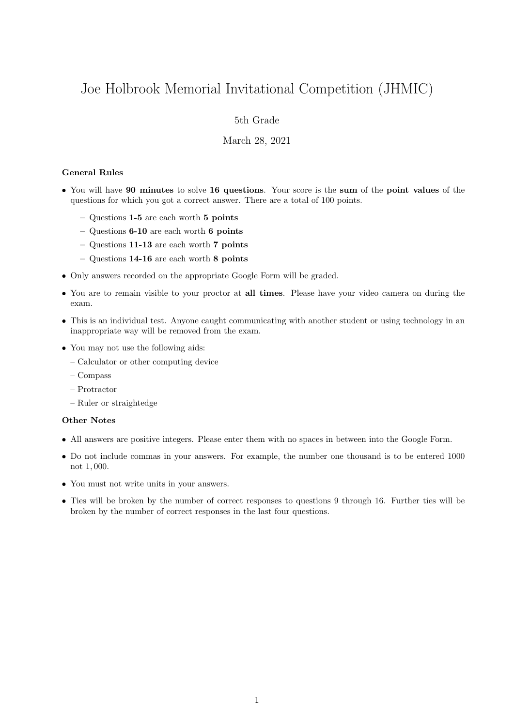# Joe Holbrook Memorial Invitational Competition (JHMIC)

## 5th Grade

## March 28, 2021

### General Rules

- You will have 90 minutes to solve 16 questions. Your score is the sum of the point values of the questions for which you got a correct answer. There are a total of 100 points.
	- Questions 1-5 are each worth 5 points
	- Questions 6-10 are each worth 6 points
	- Questions 11-13 are each worth 7 points
	- Questions 14-16 are each worth 8 points
- Only answers recorded on the appropriate Google Form will be graded.
- You are to remain visible to your proctor at all times. Please have your video camera on during the exam.
- This is an individual test. Anyone caught communicating with another student or using technology in an inappropriate way will be removed from the exam.
- You may not use the following aids:
	- Calculator or other computing device
	- Compass
	- Protractor
	- Ruler or straightedge

#### Other Notes

- All answers are positive integers. Please enter them with no spaces in between into the Google Form.
- Do not include commas in your answers. For example, the number one thousand is to be entered 1000 not 1, 000.
- You must not write units in your answers.
- Ties will be broken by the number of correct responses to questions 9 through 16. Further ties will be broken by the number of correct responses in the last four questions.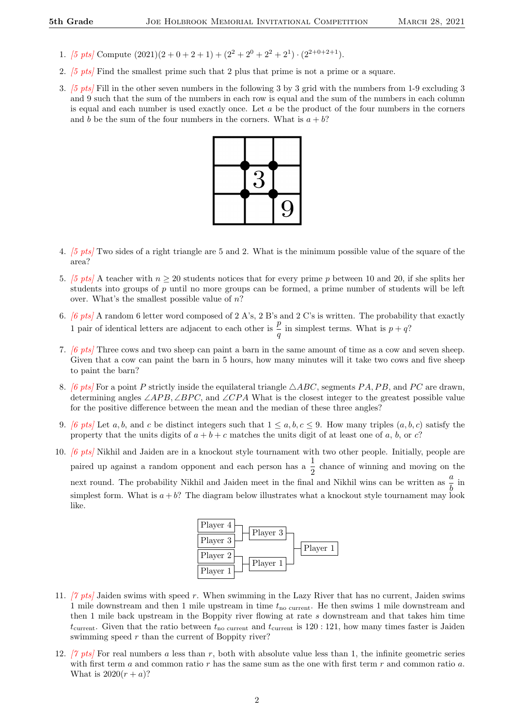- 1. [5 pts] Compute  $(2021)(2+0+2+1) + (2^2+2^0+2^2+2^1) \cdot (2^{2+0+2+1}).$
- 2. [5 pts] Find the smallest prime such that 2 plus that prime is not a prime or a square.
- 3. [5 pts] Fill in the other seven numbers in the following 3 by 3 grid with the numbers from 1-9 excluding 3 and 9 such that the sum of the numbers in each row is equal and the sum of the numbers in each column is equal and each number is used exactly once. Let  $a$  be the product of the four numbers in the corners and b be the sum of the four numbers in the corners. What is  $a + b$ ?



- 4. [5 pts] Two sides of a right triangle are 5 and 2. What is the minimum possible value of the square of the area?
- 5. [5 pts] A teacher with  $n \ge 20$  students notices that for every prime p between 10 and 20, if she splits her students into groups of p until no more groups can be formed, a prime number of students will be left over. What's the smallest possible value of  $n$ ?
- 6. [6 pts] A random 6 letter word composed of 2 A's, 2 B's and 2 C's is written. The probability that exactly 1 pair of identical letters are adjacent to each other is  $\frac{p}{q}$  in simplest terms. What is  $p + q$ ?
- 7. [6 pts] Three cows and two sheep can paint a barn in the same amount of time as a cow and seven sheep. Given that a cow can paint the barn in 5 hours, how many minutes will it take two cows and five sheep to paint the barn?
- 8. [6 pts] For a point P strictly inside the equilateral triangle  $\triangle ABC$ , segments PA, PB, and PC are drawn. determining angles  $\angle APB$ ,  $\angle BPC$ , and  $\angle CPA$  What is the closest integer to the greatest possible value for the positive difference between the mean and the median of these three angles?
- 9. [6 pts] Let a, b, and c be distinct integers such that  $1 \le a, b, c \le 9$ . How many triples  $(a, b, c)$  satisfy the property that the units digits of  $a + b + c$  matches the units digit of at least one of a, b, or c?
- 10. [6 pts] Nikhil and Jaiden are in a knockout style tournament with two other people. Initially, people are paired up against a random opponent and each person has a  $\frac{1}{2}$  chance of winning and moving on the next round. The probability Nikhil and Jaiden meet in the final and Nikhil wins can be written as  $\frac{a}{b}$  in simplest form. What is  $a + b$ ? The diagram below illustrates what a knockout style tournament may look like.



- 11. [7 pts] Jaiden swims with speed r. When swimming in the Lazy River that has no current, Jaiden swims 1 mile downstream and then 1 mile upstream in time  $t_{\text{no current}}$ . He then swims 1 mile downstream and then 1 mile back upstream in the Boppity river flowing at rate s downstream and that takes him time  $t_{\text{current}}$ . Given that the ratio between  $t_{\text{no current}}$  and  $t_{\text{current}}$  is 120 : 121, how many times faster is Jaiden swimming speed  $r$  than the current of Boppity river?
- 12. [7 pts] For real numbers a less than r, both with absolute value less than 1, the infinite geometric series with first term  $a$  and common ratio  $r$  has the same sum as the one with first term  $r$  and common ratio  $a$ . What is  $2020(r + a)$ ?